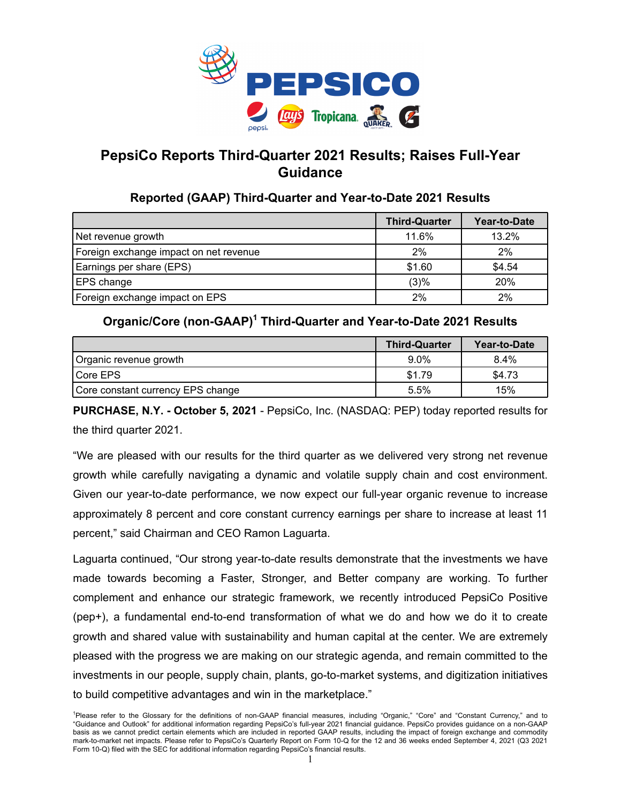

# **PepsiCo Reports Third-Quarter 2021 Results; Raises Full-Year Guidance**

## **Reported (GAAP) Third-Quarter and Year-to-Date 2021 Results**

|                                        | <b>Third-Quarter</b> | Year-to-Date |
|----------------------------------------|----------------------|--------------|
| Net revenue growth                     | 11.6%                | 13.2%        |
| Foreign exchange impact on net revenue | 2%                   | 2%           |
| Earnings per share (EPS)               | \$1.60               | \$4.54       |
| EPS change                             | (3)%                 | 20%          |
| Foreign exchange impact on EPS         | 2%                   | 2%           |

## **Organic/Core (non-GAAP)<sup>1</sup> Third-Quarter and Year-to-Date 2021 Results**

|                                   | <b>Third-Quarter</b> | Year-to-Date |
|-----------------------------------|----------------------|--------------|
| Organic revenue growth            | $9.0\%$              | 8.4%         |
| Core EPS                          | \$1.79               | \$4.73       |
| Core constant currency EPS change | 5.5%                 | 15%          |

**PURCHASE, N.Y. - October 5, 2021** - PepsiCo, Inc. (NASDAQ: PEP) today reported results for the third quarter 2021.

"We are pleased with our results for the third quarter as we delivered very strong net revenue growth while carefully navigating a dynamic and volatile supply chain and cost environment. Given our year-to-date performance, we now expect our full-year organic revenue to increase approximately 8 percent and core constant currency earnings per share to increase at least 11 percent," said Chairman and CEO Ramon Laguarta.

Laguarta continued, "Our strong year-to-date results demonstrate that the investments we have made towards becoming a Faster, Stronger, and Better company are working. To further complement and enhance our strategic framework, we recently introduced PepsiCo Positive (pep+), a fundamental end-to-end transformation of what we do and how we do it to create growth and shared value with sustainability and human capital at the center. We are extremely pleased with the progress we are making on our strategic agenda, and remain committed to the investments in our people, supply chain, plants, go-to-market systems, and digitization initiatives to build competitive advantages and win in the marketplace."

<sup>1</sup>Please refer to the Glossary for the definitions of non-GAAP financial measures, including "Organic," "Core" and "Constant Currency," and to "Guidance and Outlook" for additional information regarding PepsiCo's full-year 2021 financial guidance. PepsiCo provides guidance on a non-GAAP basis as we cannot predict certain elements which are included in reported GAAP results, including the impact of foreign exchange and commodity mark-to-market net impacts. Please refer to PepsiCo's Quarterly Report on Form 10-Q for the 12 and 36 weeks ended September 4, 2021 (Q3 2021 Form 10-Q) filed with the SEC for additional information regarding PepsiCo's financial results.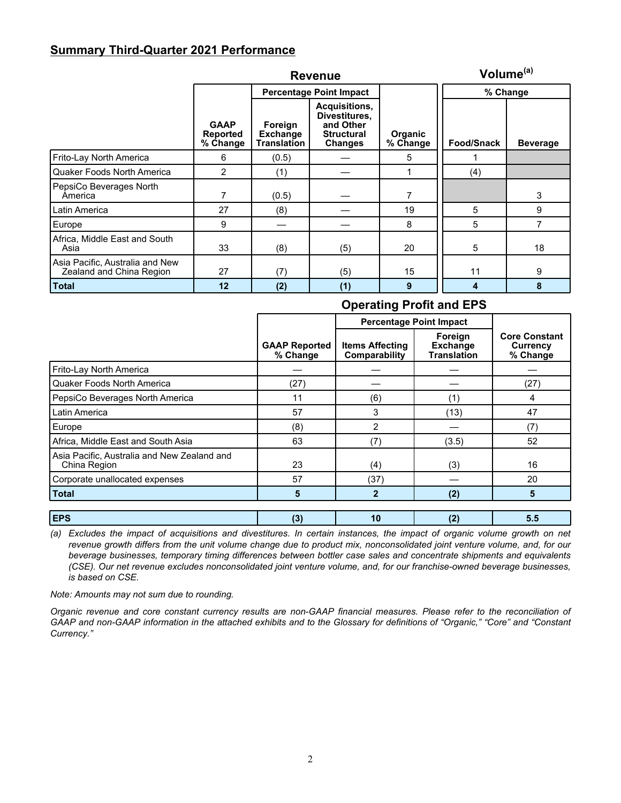## **Summary Third-Quarter 2021 Performance**

|                                                             | <b>Revenue</b>                             |                                                  |                                                                                    |                            |            |                 |
|-------------------------------------------------------------|--------------------------------------------|--------------------------------------------------|------------------------------------------------------------------------------------|----------------------------|------------|-----------------|
|                                                             |                                            |                                                  | <b>Percentage Point Impact</b>                                                     |                            | % Change   |                 |
|                                                             | <b>GAAP</b><br><b>Reported</b><br>% Change | Foreign<br><b>Exchange</b><br><b>Translation</b> | Acquisitions,<br>Divestitures,<br>and Other<br><b>Structural</b><br><b>Changes</b> | <b>Organic</b><br>% Change | Food/Snack | <b>Beverage</b> |
| Frito-Lay North America                                     | 6                                          | (0.5)                                            |                                                                                    | 5                          |            |                 |
| Quaker Foods North America                                  | $\overline{2}$                             | (1)                                              |                                                                                    |                            | (4)        |                 |
| PepsiCo Beverages North<br>America                          | 7                                          | (0.5)                                            |                                                                                    | 7                          |            | 3               |
| Latin America                                               | 27                                         | (8)                                              |                                                                                    | 19                         | 5          | 9               |
| Europe                                                      | 9                                          |                                                  |                                                                                    | 8                          | 5          | 7               |
| Africa, Middle East and South<br>Asia                       | 33                                         | (8)                                              | (5)                                                                                | 20                         | 5          | 18              |
| Asia Pacific, Australia and New<br>Zealand and China Region | 27                                         | (7)                                              | (5)                                                                                | 15                         | 11         | 9               |
| <b>Total</b>                                                | 12                                         | (2)                                              | (1)                                                                                | 9                          | 4          | 8               |

## **Operating Profit and EPS**

|                                                             |                                  | <b>Percentage Point Impact</b>          |                                                  |                                              |
|-------------------------------------------------------------|----------------------------------|-----------------------------------------|--------------------------------------------------|----------------------------------------------|
|                                                             | <b>GAAP Reported</b><br>% Change | <b>Items Affecting</b><br>Comparability | Foreign<br><b>Exchange</b><br><b>Translation</b> | <b>Core Constant</b><br>Currency<br>% Change |
| Frito-Lay North America                                     |                                  |                                         |                                                  |                                              |
| <b>Quaker Foods North America</b>                           | (27)                             |                                         |                                                  | (27)                                         |
| PepsiCo Beverages North America                             | 11                               | (6)                                     | (1)                                              | 4                                            |
| Latin America                                               | 57                               | 3                                       | (13)                                             | 47                                           |
| Europe                                                      | (8)                              | 2                                       |                                                  | (7)                                          |
| Africa, Middle East and South Asia                          | 63                               | (7)                                     | (3.5)                                            | 52                                           |
| Asia Pacific, Australia and New Zealand and<br>China Region | 23                               | (4)                                     | (3)                                              | 16                                           |
| Corporate unallocated expenses                              | 57                               | (37)                                    |                                                  | 20                                           |
| <b>Total</b>                                                | 5                                | $\overline{2}$                          | (2)                                              | 5                                            |
| <b>EPS</b>                                                  | (3)                              | 10                                      | (2)                                              | 5.5                                          |

*(a) Excludes the impact of acquisitions and divestitures. In certain instances, the impact of organic volume growth on net revenue growth differs from the unit volume change due to product mix, nonconsolidated joint venture volume, and, for our beverage businesses, temporary timing differences between bottler case sales and concentrate shipments and equivalents (CSE). Our net revenue excludes nonconsolidated joint venture volume, and, for our franchise-owned beverage businesses, is based on CSE.*

*Note: Amounts may not sum due to rounding.*

*Organic revenue and core constant currency results are non-GAAP financial measures. Please refer to the reconciliation of GAAP and non-GAAP information in the attached exhibits and to the Glossary for definitions of "Organic," "Core" and "Constant Currency."*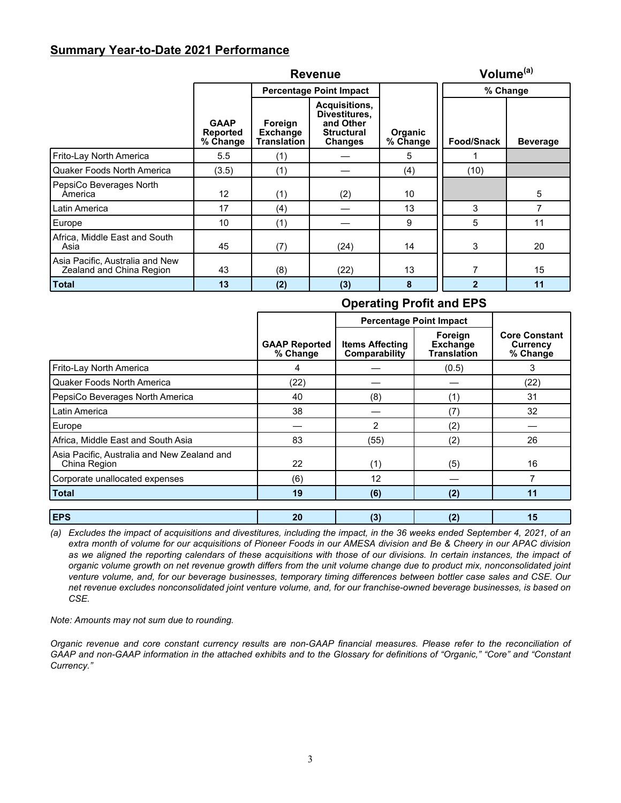## **Summary Year-to-Date 2021 Performance**

|                                                             |                                     | Volume <sup>(a)</sup>                     |                                                                                    |                            |                |                 |
|-------------------------------------------------------------|-------------------------------------|-------------------------------------------|------------------------------------------------------------------------------------|----------------------------|----------------|-----------------|
|                                                             |                                     |                                           | <b>Percentage Point Impact</b>                                                     |                            | % Change       |                 |
|                                                             | <b>GAAP</b><br>Reported<br>% Change | Foreign<br><b>Exchange</b><br>Translation | Acquisitions,<br>Divestitures.<br>and Other<br><b>Structural</b><br><b>Changes</b> | <b>Organic</b><br>% Change | Food/Snack     | <b>Beverage</b> |
| Frito-Lay North America                                     | 5.5                                 | (1)                                       |                                                                                    | 5                          |                |                 |
| l Quaker Foods North America                                | (3.5)                               | (1)                                       |                                                                                    | (4)                        | (10)           |                 |
| PepsiCo Beverages North<br>America                          | 12                                  | (1)                                       | (2)                                                                                | 10                         |                | 5               |
| Latin America                                               | 17                                  | (4)                                       |                                                                                    | 13                         | 3              | 7               |
| Europe                                                      | 10                                  | (1)                                       |                                                                                    | 9                          | 5              | 11              |
| Africa, Middle East and South<br>Asia                       | 45                                  | (7)                                       | (24)                                                                               | 14                         | 3              | 20              |
| Asia Pacific, Australia and New<br>Zealand and China Region | 43                                  | (8)                                       | (22)                                                                               | 13                         | 7              | 15              |
| Total                                                       | 13                                  | (2)                                       | (3)                                                                                | 8                          | $\overline{2}$ | 11              |

## **Operating Profit and EPS**

|                                                             |                                  | <b>Percentage Point Impact</b>          |                                                  |                                              |
|-------------------------------------------------------------|----------------------------------|-----------------------------------------|--------------------------------------------------|----------------------------------------------|
|                                                             | <b>GAAP Reported</b><br>% Change | <b>Items Affecting</b><br>Comparability | Foreign<br><b>Exchange</b><br><b>Translation</b> | <b>Core Constant</b><br>Currency<br>% Change |
| Frito-Lay North America                                     | 4                                |                                         | (0.5)                                            | 3                                            |
| <b>Quaker Foods North America</b>                           | (22)                             |                                         |                                                  | (22)                                         |
| PepsiCo Beverages North America                             | 40                               | (8)                                     | (1)                                              | 31                                           |
| Latin America                                               | 38                               |                                         | (7)                                              | 32                                           |
| Europe                                                      |                                  | 2                                       | (2)                                              |                                              |
| Africa, Middle East and South Asia                          | 83                               | (55)                                    | (2)                                              | 26                                           |
| Asia Pacific, Australia and New Zealand and<br>China Region | 22                               | (1)                                     | (5)                                              | 16                                           |
| Corporate unallocated expenses                              | (6)                              | 12                                      |                                                  |                                              |
| <b>Total</b>                                                | 19                               | (6)                                     | (2)                                              | 11                                           |
|                                                             |                                  |                                         |                                                  |                                              |
| <b>EPS</b>                                                  | 20                               | (3)                                     | (2)                                              | 15                                           |

*(a) Excludes the impact of acquisitions and divestitures, including the impact, in the 36 weeks ended September 4, 2021, of an extra month of volume for our acquisitions of Pioneer Foods in our AMESA division and Be & Cheery in our APAC division* as we aligned the reporting calendars of these acquisitions with those of our divisions. In certain instances, the impact of *organic volume growth on net revenue growth differs from the unit volume change due to product mix, nonconsolidated joint venture volume, and, for our beverage businesses, temporary timing differences between bottler case sales and CSE. Our net revenue excludes nonconsolidated joint venture volume, and, for our franchise-owned beverage businesses, is based on CSE.*

*Note: Amounts may not sum due to rounding.*

*Organic revenue and core constant currency results are non-GAAP financial measures. Please refer to the reconciliation of GAAP and non-GAAP information in the attached exhibits and to the Glossary for definitions of "Organic," "Core" and "Constant Currency."*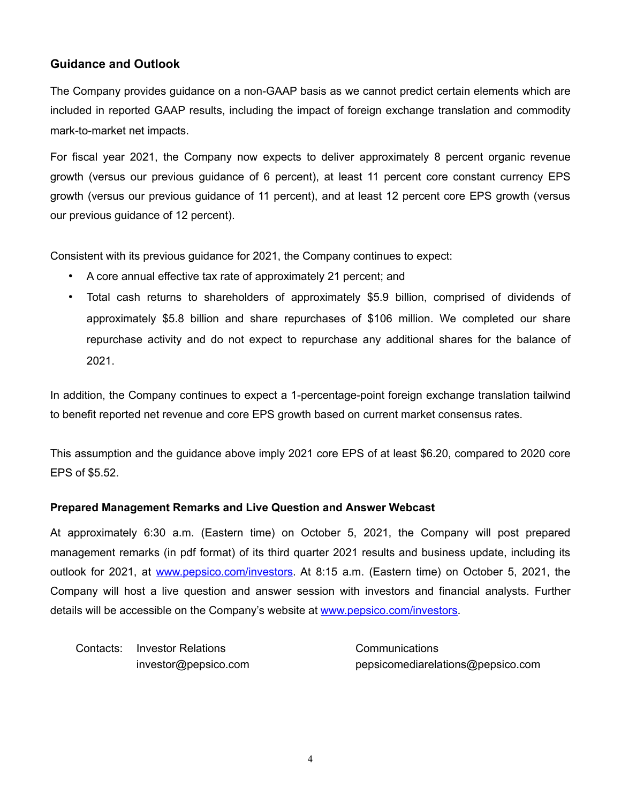## **Guidance and Outlook**

The Company provides guidance on a non-GAAP basis as we cannot predict certain elements which are included in reported GAAP results, including the impact of foreign exchange translation and commodity mark-to-market net impacts.

For fiscal year 2021, the Company now expects to deliver approximately 8 percent organic revenue growth (versus our previous guidance of 6 percent), at least 11 percent core constant currency EPS growth (versus our previous guidance of 11 percent), and at least 12 percent core EPS growth (versus our previous guidance of 12 percent).

Consistent with its previous guidance for 2021, the Company continues to expect:

- A core annual effective tax rate of approximately 21 percent; and
- Total cash returns to shareholders of approximately \$5.9 billion, comprised of dividends of approximately \$5.8 billion and share repurchases of \$106 million. We completed our share repurchase activity and do not expect to repurchase any additional shares for the balance of 2021.

In addition, the Company continues to expect a 1-percentage-point foreign exchange translation tailwind to benefit reported net revenue and core EPS growth based on current market consensus rates.

This assumption and the guidance above imply 2021 core EPS of at least \$6.20, compared to 2020 core EPS of \$5.52.

## **Prepared Management Remarks and Live Question and Answer Webcast**

At approximately 6:30 a.m. (Eastern time) on October 5, 2021, the Company will post prepared management remarks (in pdf format) of its third quarter 2021 results and business update, including its outlook for 2021, at www.pepsico.com/investors. At 8:15 a.m. (Eastern time) on October 5, 2021, the Company will host a live question and answer session with investors and financial analysts. Further details will be accessible on the Company's website at www.pepsico.com/investors.

Contacts: Investor Relations **Contacts**: Communications

investor@pepsico.com pepsicomediarelations@pepsico.com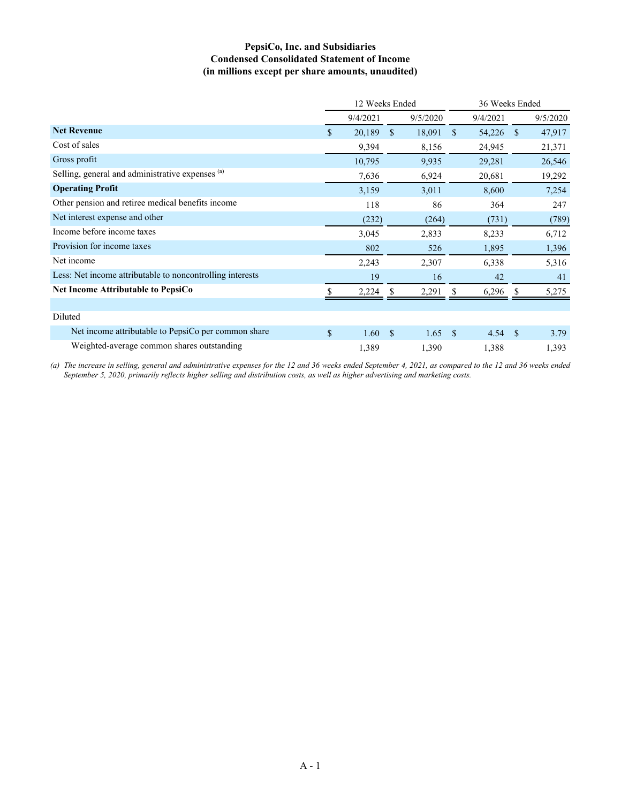## **PepsiCo, Inc. and Subsidiaries Condensed Consolidated Statement of Income (in millions except per share amounts, unaudited)**

|                                                           | 12 Weeks Ended |          |             |          |               | 36 Weeks Ended |              |          |  |
|-----------------------------------------------------------|----------------|----------|-------------|----------|---------------|----------------|--------------|----------|--|
|                                                           |                | 9/4/2021 |             | 9/5/2020 |               | 9/4/2021       |              | 9/5/2020 |  |
| <b>Net Revenue</b>                                        | $\mathbb{S}$   | 20,189   | \$          | 18,091   | <sup>\$</sup> | 54,226         | <sup>S</sup> | 47,917   |  |
| Cost of sales                                             |                | 9,394    |             | 8,156    |               | 24,945         |              | 21,371   |  |
| Gross profit                                              |                | 10,795   |             | 9,935    |               | 29,281         |              | 26,546   |  |
| Selling, general and administrative expenses (a)          |                | 7,636    |             | 6,924    |               | 20,681         |              | 19,292   |  |
| <b>Operating Profit</b>                                   |                | 3,159    |             | 3,011    |               | 8,600          |              | 7,254    |  |
| Other pension and retiree medical benefits income         |                | 118      |             | 86       |               | 364            |              | 247      |  |
| Net interest expense and other                            |                | (232)    |             | (264)    |               | (731)          |              | (789)    |  |
| Income before income taxes                                |                | 3,045    |             | 2,833    |               | 8,233          |              | 6,712    |  |
| Provision for income taxes                                |                | 802      |             | 526      |               | 1,895          |              | 1,396    |  |
| Net income                                                |                | 2,243    |             | 2,307    |               | 6,338          |              | 5,316    |  |
| Less: Net income attributable to noncontrolling interests |                | 19       |             | 16       |               | 42             |              | 41       |  |
| <b>Net Income Attributable to PepsiCo</b>                 |                | 2,224    |             | 2,291    |               | 6,296          |              | 5,275    |  |
|                                                           |                |          |             |          |               |                |              |          |  |
| Diluted                                                   |                |          |             |          |               |                |              |          |  |
| Net income attributable to PepsiCo per common share       | \$             | 1.60     | $\mathbf S$ | 1.65     | $\mathcal{S}$ | 4.54           | -S           | 3.79     |  |
| Weighted-average common shares outstanding                |                | 1,389    |             | 1,390    |               | 1,388          |              | 1,393    |  |

*(a) The increase in selling, general and administrative expenses for the 12 and 36 weeks ended September 4, 2021, as compared to the 12 and 36 weeks ended September 5, 2020, primarily reflects higher selling and distribution costs, as well as higher advertising and marketing costs.*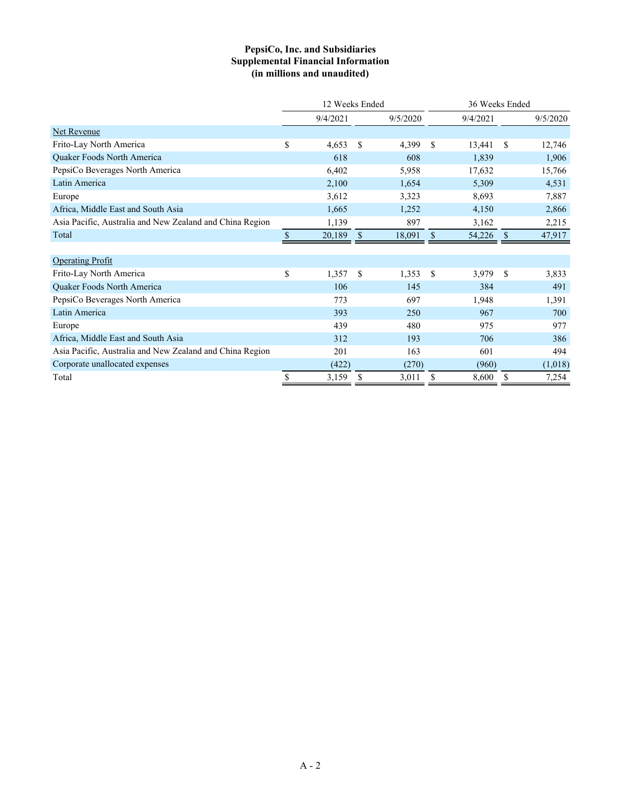## **PepsiCo, Inc. and Subsidiaries Supplemental Financial Information (in millions and unaudited)**

|                                                          | 12 Weeks Ended |          |               |          |               | 36 Weeks Ended |               |          |  |
|----------------------------------------------------------|----------------|----------|---------------|----------|---------------|----------------|---------------|----------|--|
|                                                          |                | 9/4/2021 |               | 9/5/2020 |               | 9/4/2021       |               | 9/5/2020 |  |
| Net Revenue                                              |                |          |               |          |               |                |               |          |  |
| Frito-Lay North America                                  | \$             | 4,653    | \$            | 4,399    | <sup>\$</sup> | 13,441         | \$            | 12,746   |  |
| Quaker Foods North America                               |                | 618      |               | 608      |               | 1,839          |               | 1,906    |  |
| PepsiCo Beverages North America                          |                | 6,402    |               | 5,958    |               | 17,632         |               | 15,766   |  |
| Latin America                                            |                | 2,100    |               | 1,654    |               | 5,309          |               | 4,531    |  |
| Europe                                                   |                | 3,612    |               | 3,323    |               | 8,693          |               | 7,887    |  |
| Africa, Middle East and South Asia                       |                | 1,665    |               | 1,252    |               | 4,150          |               | 2,866    |  |
| Asia Pacific, Australia and New Zealand and China Region |                | 1,139    |               | 897      |               | 3,162          |               | 2,215    |  |
| Total                                                    | \$             | 20,189   | <sup>\$</sup> | 18,091   | S             | 54,226         | <sup>\$</sup> | 47,917   |  |
|                                                          |                |          |               |          |               |                |               |          |  |
| <b>Operating Profit</b>                                  |                |          |               |          |               |                |               |          |  |
| Frito-Lay North America                                  | \$             | 1,357    | \$            | 1,353    | <sup>\$</sup> | 3,979          | <sup>\$</sup> | 3,833    |  |
| Quaker Foods North America                               |                | 106      |               | 145      |               | 384            |               | 491      |  |
| PepsiCo Beverages North America                          |                | 773      |               | 697      |               | 1,948          |               | 1,391    |  |
| Latin America                                            |                | 393      |               | 250      |               | 967            |               | 700      |  |
| Europe                                                   |                | 439      |               | 480      |               | 975            |               | 977      |  |
| Africa, Middle East and South Asia                       |                | 312      |               | 193      |               | 706            |               | 386      |  |
| Asia Pacific, Australia and New Zealand and China Region |                | 201      |               | 163      |               | 601            |               | 494      |  |
| Corporate unallocated expenses                           |                | (422)    |               | (270)    |               | (960)          |               | (1,018)  |  |
| Total                                                    | \$             | 3,159    | \$            | 3,011    | \$            | 8,600          | \$            | 7,254    |  |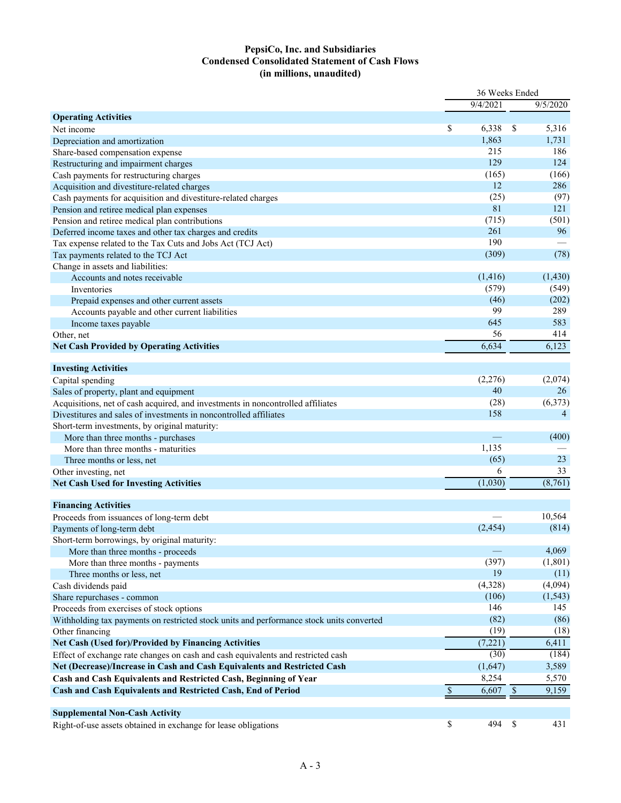## **PepsiCo, Inc. and Subsidiaries Condensed Consolidated Statement of Cash Flows (in millions, unaudited)**

|                                                                                          | 36 Weeks Ended |           |                           |                |  |
|------------------------------------------------------------------------------------------|----------------|-----------|---------------------------|----------------|--|
|                                                                                          |                | 9/4/2021  |                           | 9/5/2020       |  |
| <b>Operating Activities</b>                                                              |                |           |                           |                |  |
| Net income                                                                               | \$             | 6,338     | \$                        | 5,316          |  |
| Depreciation and amortization                                                            |                | 1,863     |                           | 1,731          |  |
| Share-based compensation expense                                                         |                | 215       |                           | 186            |  |
| Restructuring and impairment charges                                                     |                | 129       |                           | 124            |  |
| Cash payments for restructuring charges                                                  |                | (165)     |                           | (166)          |  |
| Acquisition and divestiture-related charges                                              |                | 12        |                           | 286            |  |
| Cash payments for acquisition and divestiture-related charges                            |                | (25)      |                           | (97)           |  |
| Pension and retiree medical plan expenses                                                |                | 81        |                           | 121            |  |
| Pension and retiree medical plan contributions                                           |                | (715)     |                           | (501)          |  |
| Deferred income taxes and other tax charges and credits                                  |                | 261       |                           | 96             |  |
| Tax expense related to the Tax Cuts and Jobs Act (TCJ Act)                               |                | 190       |                           |                |  |
| Tax payments related to the TCJ Act                                                      |                | (309)     |                           | (78)           |  |
| Change in assets and liabilities:                                                        |                |           |                           |                |  |
| Accounts and notes receivable                                                            |                | (1, 416)  |                           | (1,430)        |  |
| Inventories                                                                              |                | (579)     |                           | (549)          |  |
| Prepaid expenses and other current assets                                                |                | (46)      |                           | (202)          |  |
| Accounts payable and other current liabilities                                           |                | 99        |                           | 289            |  |
| Income taxes payable                                                                     |                | 645       |                           | 583            |  |
|                                                                                          |                | 56        |                           | 414            |  |
| Other, net                                                                               |                | 6,634     |                           | 6,123          |  |
| <b>Net Cash Provided by Operating Activities</b>                                         |                |           |                           |                |  |
| <b>Investing Activities</b>                                                              |                |           |                           |                |  |
|                                                                                          |                | (2,276)   |                           | (2,074)        |  |
| Capital spending                                                                         |                | 40        |                           | 26             |  |
| Sales of property, plant and equipment                                                   |                | (28)      |                           | (6,373)        |  |
| Acquisitions, net of cash acquired, and investments in noncontrolled affiliates          |                | 158       |                           | $\overline{4}$ |  |
| Divestitures and sales of investments in noncontrolled affiliates                        |                |           |                           |                |  |
| Short-term investments, by original maturity:                                            |                |           |                           |                |  |
| More than three months - purchases                                                       |                |           |                           | (400)          |  |
| More than three months - maturities                                                      |                | 1,135     |                           | 23             |  |
| Three months or less, net                                                                |                | (65)<br>6 |                           | 33             |  |
| Other investing, net                                                                     |                |           |                           |                |  |
| <b>Net Cash Used for Investing Activities</b>                                            |                | (1,030)   |                           | (8,761)        |  |
|                                                                                          |                |           |                           |                |  |
| <b>Financing Activities</b>                                                              |                |           |                           | 10,564         |  |
| Proceeds from issuances of long-term debt                                                |                |           |                           |                |  |
| Payments of long-term debt                                                               |                | (2,454)   |                           | (814)          |  |
| Short-term borrowings, by original maturity:                                             |                |           |                           |                |  |
| More than three months - proceeds                                                        |                |           |                           | 4,069          |  |
| More than three months - payments                                                        |                | (397)     |                           | (1,801)        |  |
| Three months or less, net                                                                |                | 19        |                           | (11)           |  |
| Cash dividends paid                                                                      |                | (4,328)   |                           | (4,094)        |  |
| Share repurchases - common                                                               |                | (106)     |                           | (1, 543)       |  |
| Proceeds from exercises of stock options                                                 |                | 146       |                           | 145            |  |
| Withholding tax payments on restricted stock units and performance stock units converted |                | (82)      |                           | (86)           |  |
| Other financing                                                                          |                | (19)      |                           | (18)           |  |
| Net Cash (Used for)/Provided by Financing Activities                                     |                | (7,221)   |                           | 6,411          |  |
| Effect of exchange rate changes on cash and cash equivalents and restricted cash         |                | (30)      |                           | (184)          |  |
| Net (Decrease)/Increase in Cash and Cash Equivalents and Restricted Cash                 |                | (1,647)   |                           | 3,589          |  |
| Cash and Cash Equivalents and Restricted Cash, Beginning of Year                         |                | 8,254     |                           | 5,570          |  |
| Cash and Cash Equivalents and Restricted Cash, End of Period                             | \$             | 6,607     | $\boldsymbol{\mathsf{S}}$ | 9,159          |  |
|                                                                                          |                |           |                           |                |  |
| <b>Supplemental Non-Cash Activity</b>                                                    |                |           |                           |                |  |
| Right-of-use assets obtained in exchange for lease obligations                           | $\mathbb{S}$   | 494       | $\$$                      | 431            |  |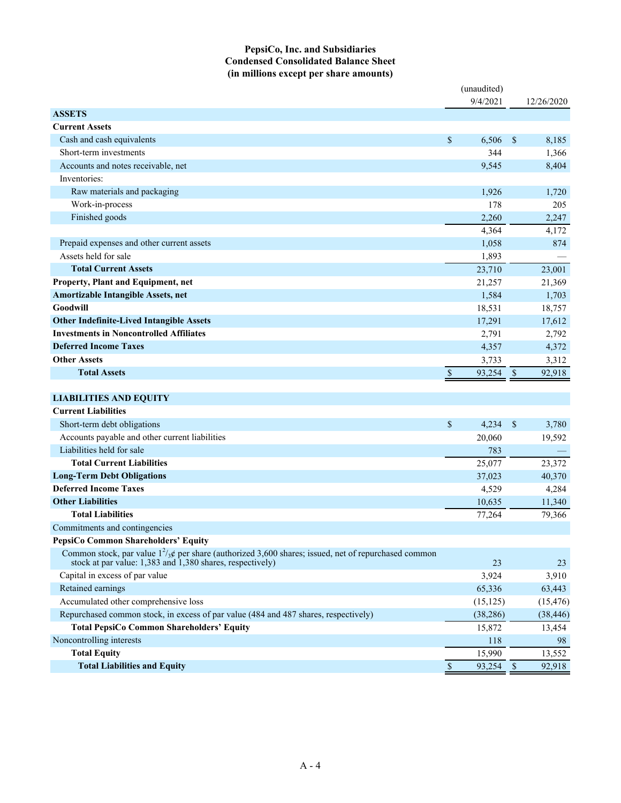## **PepsiCo, Inc. and Subsidiaries Condensed Consolidated Balance Sheet (in millions except per share amounts)**

|                                                                                                                                                                             |              | (unaudited) |              |            |
|-----------------------------------------------------------------------------------------------------------------------------------------------------------------------------|--------------|-------------|--------------|------------|
|                                                                                                                                                                             |              | 9/4/2021    |              | 12/26/2020 |
| <b>ASSETS</b>                                                                                                                                                               |              |             |              |            |
| <b>Current Assets</b>                                                                                                                                                       |              |             |              |            |
| Cash and cash equivalents                                                                                                                                                   | $\mathbb{S}$ | 6,506       | $\mathbb{S}$ | 8,185      |
| Short-term investments                                                                                                                                                      |              | 344         |              | 1,366      |
| Accounts and notes receivable, net                                                                                                                                          |              | 9,545       |              | 8,404      |
| Inventories:                                                                                                                                                                |              |             |              |            |
| Raw materials and packaging                                                                                                                                                 |              | 1,926       |              | 1,720      |
| Work-in-process                                                                                                                                                             |              | 178         |              | 205        |
| Finished goods                                                                                                                                                              |              | 2,260       |              | 2,247      |
|                                                                                                                                                                             |              | 4,364       |              | 4,172      |
| Prepaid expenses and other current assets                                                                                                                                   |              | 1,058       |              | 874        |
| Assets held for sale                                                                                                                                                        |              | 1,893       |              |            |
| <b>Total Current Assets</b>                                                                                                                                                 |              | 23,710      |              | 23,001     |
| Property, Plant and Equipment, net                                                                                                                                          |              | 21,257      |              | 21,369     |
| Amortizable Intangible Assets, net                                                                                                                                          |              | 1,584       |              | 1,703      |
| Goodwill                                                                                                                                                                    |              | 18,531      |              | 18,757     |
| <b>Other Indefinite-Lived Intangible Assets</b>                                                                                                                             |              | 17,291      |              | 17,612     |
| <b>Investments in Noncontrolled Affiliates</b>                                                                                                                              |              | 2,791       |              | 2,792      |
| <b>Deferred Income Taxes</b>                                                                                                                                                |              | 4,357       |              | 4,372      |
| <b>Other Assets</b>                                                                                                                                                         |              | 3,733       |              | 3,312      |
| <b>Total Assets</b>                                                                                                                                                         | \$           | 93,254      | $\mathbb{S}$ | 92,918     |
|                                                                                                                                                                             |              |             |              |            |
| <b>LIABILITIES AND EQUITY</b>                                                                                                                                               |              |             |              |            |
| <b>Current Liabilities</b>                                                                                                                                                  |              |             |              |            |
| Short-term debt obligations                                                                                                                                                 | \$           | 4,234       | $\mathbb{S}$ | 3,780      |
| Accounts payable and other current liabilities                                                                                                                              |              | 20,060      |              | 19,592     |
| Liabilities held for sale                                                                                                                                                   |              | 783         |              |            |
| <b>Total Current Liabilities</b>                                                                                                                                            |              | 25,077      |              | 23,372     |
| <b>Long-Term Debt Obligations</b>                                                                                                                                           |              | 37,023      |              | 40,370     |
| <b>Deferred Income Taxes</b>                                                                                                                                                |              | 4,529       |              | 4,284      |
| <b>Other Liabilities</b>                                                                                                                                                    |              | 10,635      |              | 11,340     |
| <b>Total Liabilities</b>                                                                                                                                                    |              | 77,264      |              | 79,366     |
| Commitments and contingencies                                                                                                                                               |              |             |              |            |
| PepsiCo Common Shareholders' Equity                                                                                                                                         |              |             |              |            |
| Common stock, par value $1^2/\cancel{s}$ per share (authorized 3,600 shares; issued, net of repurchased common<br>stock at par value: 1,383 and 1,380 shares, respectively) |              | 23          |              | 23         |
| Capital in excess of par value                                                                                                                                              |              | 3,924       |              | 3,910      |
| Retained earnings                                                                                                                                                           |              | 65,336      |              | 63,443     |
| Accumulated other comprehensive loss                                                                                                                                        |              | (15, 125)   |              | (15, 476)  |
| Repurchased common stock, in excess of par value (484 and 487 shares, respectively)                                                                                         |              | (38, 286)   |              | (38, 446)  |
| <b>Total PepsiCo Common Shareholders' Equity</b>                                                                                                                            |              | 15,872      |              | 13,454     |
| Noncontrolling interests                                                                                                                                                    |              | 118         |              | 98         |
| <b>Total Equity</b>                                                                                                                                                         |              | 15,990      |              | 13,552     |
| <b>Total Liabilities and Equity</b>                                                                                                                                         | $\mathbb{S}$ | 93,254      | $\sqrt{3}$   | 92,918     |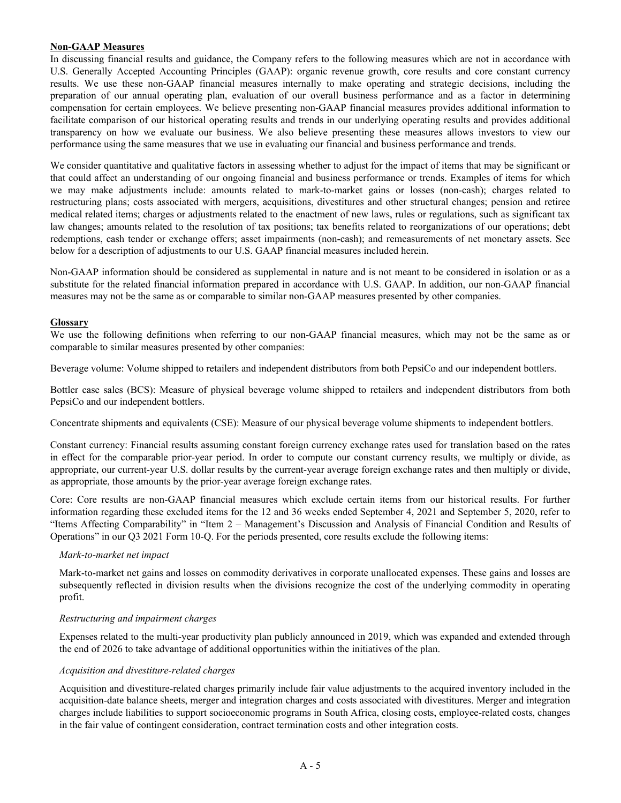### **Non-GAAP Measures**

In discussing financial results and guidance, the Company refers to the following measures which are not in accordance with U.S. Generally Accepted Accounting Principles (GAAP): organic revenue growth, core results and core constant currency results. We use these non-GAAP financial measures internally to make operating and strategic decisions, including the preparation of our annual operating plan, evaluation of our overall business performance and as a factor in determining compensation for certain employees. We believe presenting non-GAAP financial measures provides additional information to facilitate comparison of our historical operating results and trends in our underlying operating results and provides additional transparency on how we evaluate our business. We also believe presenting these measures allows investors to view our performance using the same measures that we use in evaluating our financial and business performance and trends.

We consider quantitative and qualitative factors in assessing whether to adjust for the impact of items that may be significant or that could affect an understanding of our ongoing financial and business performance or trends. Examples of items for which we may make adjustments include: amounts related to mark-to-market gains or losses (non-cash); charges related to restructuring plans; costs associated with mergers, acquisitions, divestitures and other structural changes; pension and retiree medical related items; charges or adjustments related to the enactment of new laws, rules or regulations, such as significant tax law changes; amounts related to the resolution of tax positions; tax benefits related to reorganizations of our operations; debt redemptions, cash tender or exchange offers; asset impairments (non-cash); and remeasurements of net monetary assets. See below for a description of adjustments to our U.S. GAAP financial measures included herein.

Non-GAAP information should be considered as supplemental in nature and is not meant to be considered in isolation or as a substitute for the related financial information prepared in accordance with U.S. GAAP. In addition, our non-GAAP financial measures may not be the same as or comparable to similar non-GAAP measures presented by other companies.

#### **Glossary**

We use the following definitions when referring to our non-GAAP financial measures, which may not be the same as or comparable to similar measures presented by other companies:

Beverage volume: Volume shipped to retailers and independent distributors from both PepsiCo and our independent bottlers.

Bottler case sales (BCS): Measure of physical beverage volume shipped to retailers and independent distributors from both PepsiCo and our independent bottlers.

Concentrate shipments and equivalents (CSE): Measure of our physical beverage volume shipments to independent bottlers.

Constant currency: Financial results assuming constant foreign currency exchange rates used for translation based on the rates in effect for the comparable prior-year period. In order to compute our constant currency results, we multiply or divide, as appropriate, our current-year U.S. dollar results by the current-year average foreign exchange rates and then multiply or divide, as appropriate, those amounts by the prior-year average foreign exchange rates.

Core: Core results are non-GAAP financial measures which exclude certain items from our historical results. For further information regarding these excluded items for the 12 and 36 weeks ended September 4, 2021 and September 5, 2020, refer to "Items Affecting Comparability" in "Item 2 – Management's Discussion and Analysis of Financial Condition and Results of Operations" in our Q3 2021 Form 10-Q. For the periods presented, core results exclude the following items:

#### *Mark-to-market net impact*

Mark-to-market net gains and losses on commodity derivatives in corporate unallocated expenses. These gains and losses are subsequently reflected in division results when the divisions recognize the cost of the underlying commodity in operating profit.

#### *Restructuring and impairment charges*

Expenses related to the multi-year productivity plan publicly announced in 2019, which was expanded and extended through the end of 2026 to take advantage of additional opportunities within the initiatives of the plan.

#### *Acquisition and divestiture-related charges*

Acquisition and divestiture-related charges primarily include fair value adjustments to the acquired inventory included in the acquisition-date balance sheets, merger and integration charges and costs associated with divestitures. Merger and integration charges include liabilities to support socioeconomic programs in South Africa, closing costs, employee-related costs, changes in the fair value of contingent consideration, contract termination costs and other integration costs.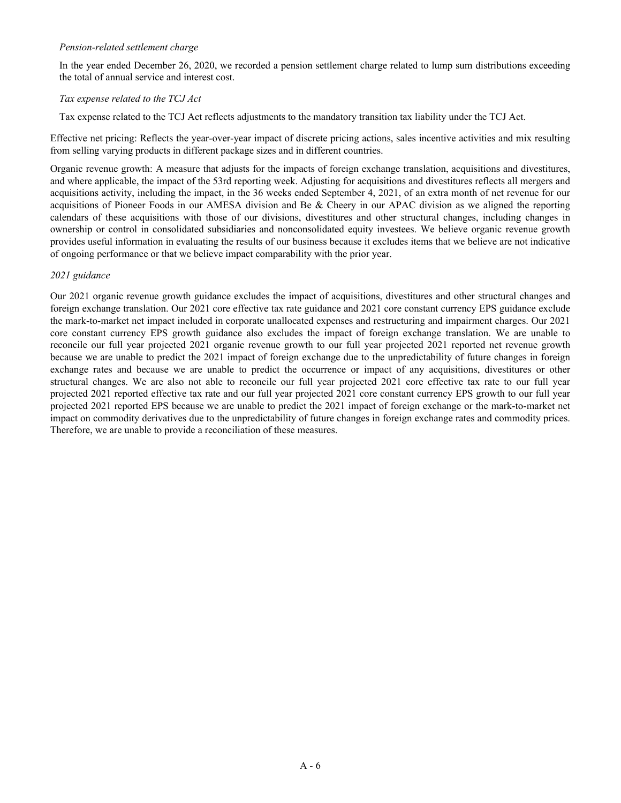### *Pension-related settlement charge*

In the year ended December 26, 2020, we recorded a pension settlement charge related to lump sum distributions exceeding the total of annual service and interest cost.

## *Tax expense related to the TCJ Act*

Tax expense related to the TCJ Act reflects adjustments to the mandatory transition tax liability under the TCJ Act.

Effective net pricing: Reflects the year-over-year impact of discrete pricing actions, sales incentive activities and mix resulting from selling varying products in different package sizes and in different countries.

Organic revenue growth: A measure that adjusts for the impacts of foreign exchange translation, acquisitions and divestitures, and where applicable, the impact of the 53rd reporting week. Adjusting for acquisitions and divestitures reflects all mergers and acquisitions activity, including the impact, in the 36 weeks ended September 4, 2021, of an extra month of net revenue for our acquisitions of Pioneer Foods in our AMESA division and Be & Cheery in our APAC division as we aligned the reporting calendars of these acquisitions with those of our divisions, divestitures and other structural changes, including changes in ownership or control in consolidated subsidiaries and nonconsolidated equity investees. We believe organic revenue growth provides useful information in evaluating the results of our business because it excludes items that we believe are not indicative of ongoing performance or that we believe impact comparability with the prior year.

## *2021 guidance*

Our 2021 organic revenue growth guidance excludes the impact of acquisitions, divestitures and other structural changes and foreign exchange translation. Our 2021 core effective tax rate guidance and 2021 core constant currency EPS guidance exclude the mark-to-market net impact included in corporate unallocated expenses and restructuring and impairment charges. Our 2021 core constant currency EPS growth guidance also excludes the impact of foreign exchange translation. We are unable to reconcile our full year projected 2021 organic revenue growth to our full year projected 2021 reported net revenue growth because we are unable to predict the 2021 impact of foreign exchange due to the unpredictability of future changes in foreign exchange rates and because we are unable to predict the occurrence or impact of any acquisitions, divestitures or other structural changes. We are also not able to reconcile our full year projected 2021 core effective tax rate to our full year projected 2021 reported effective tax rate and our full year projected 2021 core constant currency EPS growth to our full year projected 2021 reported EPS because we are unable to predict the 2021 impact of foreign exchange or the mark-to-market net impact on commodity derivatives due to the unpredictability of future changes in foreign exchange rates and commodity prices. Therefore, we are unable to provide a reconciliation of these measures.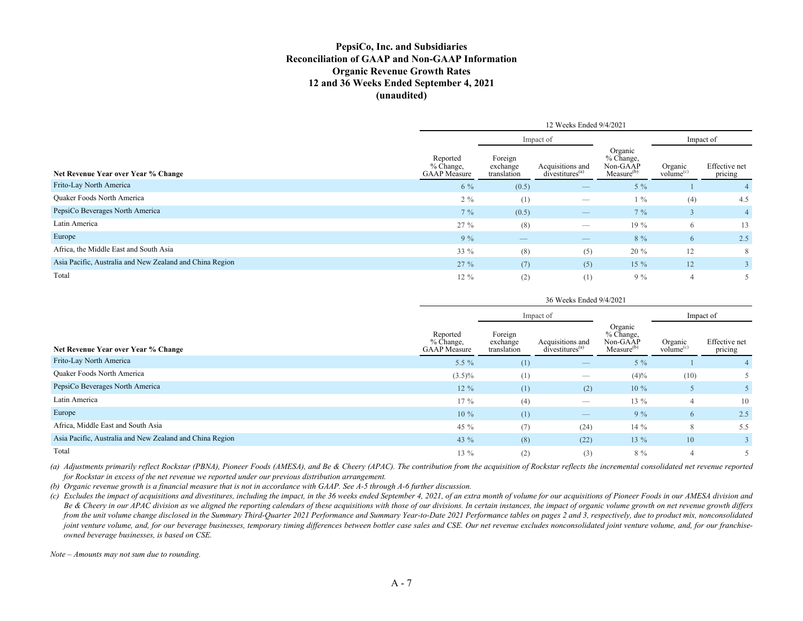### **PepsiCo, Inc. and Subsidiaries Reconciliation of GAAP and Non-GAAP Information Organic Revenue Growth Rates 12 and 36 Weeks Ended September 4, 2021 (unaudited)**

|                                                          | 12 Weeks Ended 9/4/2021                      |                                    |                                                 |                                                            |                                  |                          |  |  |
|----------------------------------------------------------|----------------------------------------------|------------------------------------|-------------------------------------------------|------------------------------------------------------------|----------------------------------|--------------------------|--|--|
|                                                          |                                              | Impact of                          |                                                 |                                                            | Impact of                        |                          |  |  |
| Net Revenue Year over Year % Change                      | Reported<br>% Change,<br><b>GAAP</b> Measure | Foreign<br>exchange<br>translation | Acquisitions and<br>divestitures <sup>(a)</sup> | Organic<br>% Change,<br>Non-GAAP<br>Measure <sup>(b)</sup> | Organic<br>volume <sup>(c)</sup> | Effective net<br>pricing |  |  |
| Frito-Lay North America                                  | 6 %                                          | (0.5)                              | $\qquad \qquad - \qquad$                        | $5\%$                                                      |                                  |                          |  |  |
| <b>Ouaker Foods North America</b>                        | $2\%$                                        | (1)                                |                                                 | $1\%$                                                      | (4)                              | 4.5                      |  |  |
| PepsiCo Beverages North America                          | $7\%$                                        | (0.5)                              | $\qquad \qquad - \qquad$                        | $7\%$                                                      |                                  | $\overline{4}$           |  |  |
| Latin America                                            | 27 %                                         | (8)                                | $\hspace{0.1mm}-\hspace{0.1mm}$                 | $19\%$                                                     | 6                                | 13                       |  |  |
| Europe                                                   | $9\%$                                        | $\qquad \qquad$                    | $\overbrace{\phantom{aaaaa}}$                   | 8 %                                                        | 6                                | 2.5                      |  |  |
| Africa, the Middle East and South Asia                   | $33\%$                                       | (8)                                | (5)                                             | $20 \%$                                                    | 12                               | 8                        |  |  |
| Asia Pacific, Australia and New Zealand and China Region | 27%                                          | (7)                                | (5)                                             | $15\%$                                                     | 12                               | 3                        |  |  |
| Total                                                    | $12\%$                                       | (2)                                | (1)                                             | $9\%$                                                      | $\overline{4}$                   |                          |  |  |

|                                                          | 36 Weeks Ended 9/4/2021                        |                                    |                                                 |                                                            |                                  |                          |  |  |
|----------------------------------------------------------|------------------------------------------------|------------------------------------|-------------------------------------------------|------------------------------------------------------------|----------------------------------|--------------------------|--|--|
|                                                          |                                                |                                    | Impact of                                       |                                                            | Impact of                        |                          |  |  |
| Net Revenue Year over Year % Change                      | Reported<br>$%$ Change,<br><b>GAAP</b> Measure | Foreign<br>exchange<br>translation | Acquisitions and<br>divestitures <sup>(a)</sup> | Organic<br>% Change,<br>Non-GAAP<br>Measure <sup>(b)</sup> | Organic<br>volume <sup>(c)</sup> | Effective net<br>pricing |  |  |
| Frito-Lay North America                                  | 5.5 $%$                                        | (1)                                | $\qquad \qquad - \qquad$                        | $5\%$                                                      |                                  |                          |  |  |
| <b>Ouaker Foods North America</b>                        | $(3.5)\%$                                      | (1)                                | $\overbrace{\hspace{25mm}}^{}$                  | $(4)\%$                                                    | (10)                             |                          |  |  |
| PepsiCo Beverages North America                          | $12\%$                                         | (1)                                | (2)                                             | $10\%$                                                     | 5                                |                          |  |  |
| Latin America                                            | $17\%$                                         | (4)                                | $\hspace{0.05cm}$                               | $13\%$                                                     | $\overline{4}$                   | 10                       |  |  |
| Europe                                                   | $10\%$                                         | (1)                                | $\qquad \qquad -$                               | $9\%$                                                      | 6                                | 2.5                      |  |  |
| Africa, Middle East and South Asia                       | 45 $%$                                         | (7)                                | (24)                                            | $14\%$                                                     | 8                                | 5.5                      |  |  |
| Asia Pacific, Australia and New Zealand and China Region | 43 %                                           | (8)                                | (22)                                            | $13\%$                                                     | 10                               |                          |  |  |
| Total                                                    | 13 %                                           | (2)                                | (3)                                             | 8 %                                                        | 4                                |                          |  |  |

*(a) Adjustments primarily reflect Rockstar (PBNA), Pioneer Foods (AMESA), and Be & Cheery (APAC). The contribution from the acquisition of Rockstar reflects the incremental consolidated net revenue reported for Rockstar in excess of the net revenue we reported under our previous distribution arrangement.*

*(b) Organic revenue growth is a financial measure that is not in accordance with GAAP. See A-5 through A-6 further discussion.*

(c) Excludes the impact of acquisitions and divestitures, including the impact, in the 36 weeks ended September 4, 2021, of an extra month of volume for our acquisitions of Pioneer Foods in our AMESA division and *Be & Cheery in our APAC division as we aligned the reporting calendars of these acquisitions with those of our divisions. In certain instances, the impact of organic volume growth on net revenue growth differs*  from the unit volume change disclosed in the Summary Third-Quarter 2021 Performance and Summary Year-to-Date 2021 Performance tables on pages 2 and 3, respectively, due to product mix, nonconsolidated joint venture volume, and, for our beverage businesses, temporary timing differences between bottler case sales and CSE. Our net revenue excludes nonconsolidated joint venture volume, and, for our franchise*owned beverage businesses, is based on CSE.*

*Note – Amounts may not sum due to rounding.*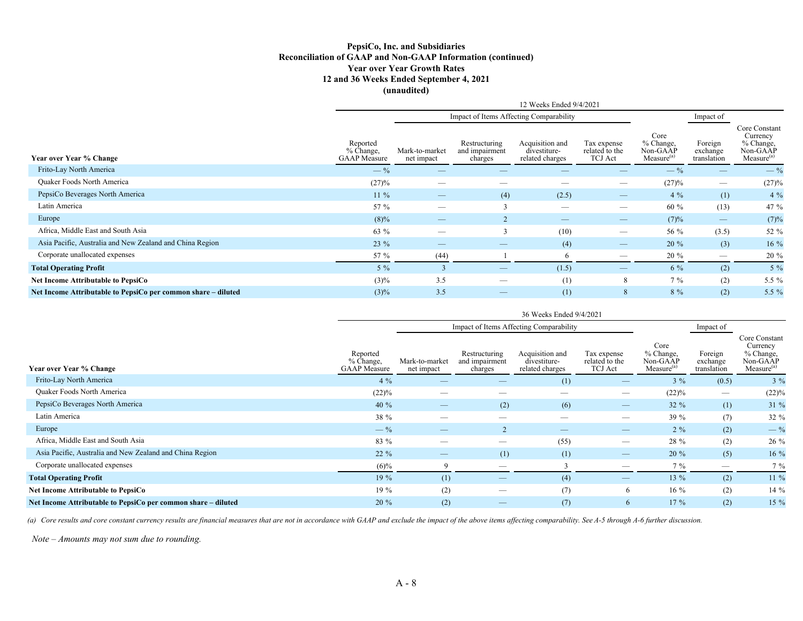#### **PepsiCo, Inc. and Subsidiaries Reconciliation of GAAP and Non-GAAP Information (continued) Year over Year Growth Rates 12 and 36 Weeks Ended September 4, 2021 (unaudited)**

|                                                               |                                              |                              |                                            | 12 Weeks Ended 9/4/2021                            |                                                 |                                                         |                                    |                                                                              |
|---------------------------------------------------------------|----------------------------------------------|------------------------------|--------------------------------------------|----------------------------------------------------|-------------------------------------------------|---------------------------------------------------------|------------------------------------|------------------------------------------------------------------------------|
|                                                               |                                              |                              |                                            | Impact of Items Affecting Comparability            |                                                 |                                                         | Impact of                          |                                                                              |
| Year over Year % Change                                       | Reported<br>% Change,<br><b>GAAP</b> Measure | Mark-to-market<br>net impact | Restructuring<br>and impairment<br>charges | Acquisition and<br>divestiture-<br>related charges | Tax expense<br>related to the<br><b>TCJ</b> Act | Core<br>% Change,<br>Non-GAAP<br>Measure <sup>(a)</sup> | Foreign<br>exchange<br>translation | Core Constant<br>Currency<br>% Change,<br>Non-GAAP<br>Measure <sup>(a)</sup> |
| Frito-Lay North America                                       | $-$ %                                        |                              |                                            |                                                    |                                                 | $-$ %                                                   |                                    | $-$ %                                                                        |
| Quaker Foods North America                                    | (27)%                                        |                              |                                            |                                                    |                                                 | (27)%                                                   |                                    | (27)%                                                                        |
| PepsiCo Beverages North America                               | $11\%$                                       |                              | (4)                                        | (2.5)                                              | $\overline{\phantom{a}}$                        | $4\%$                                                   | (1)                                | $4\%$                                                                        |
| Latin America                                                 | 57 %                                         |                              | $\mathbf{a}$                               | $\hspace{0.05cm}$                                  | $\overline{\phantom{m}}$                        | 60 %                                                    | (13)                               | 47 %                                                                         |
| Europe                                                        | $(8)\%$                                      | $\overline{\phantom{m}}$     |                                            | $\overline{\phantom{m}}$                           | $\hspace{0.1mm}-\hspace{0.1mm}$                 | (7)%                                                    | $\overline{\phantom{m}}$           | (7)%                                                                         |
| Africa, Middle East and South Asia                            | 63 %                                         |                              | $\mathbf{3}$                               | (10)                                               | $\overline{\phantom{a}}$                        | 56 %                                                    | (3.5)                              | 52 %                                                                         |
| Asia Pacific, Australia and New Zealand and China Region      | $23 \%$                                      |                              |                                            | (4)                                                | $\hspace{0.1mm}-\hspace{0.1mm}$                 | 20 %                                                    | (3)                                | $16\%$                                                                       |
| Corporate unallocated expenses                                | 57 %                                         | (44)                         |                                            | 6                                                  |                                                 | 20 %                                                    | $\hspace{0.1mm}-\hspace{0.1mm}$    | 20 %                                                                         |
| <b>Total Operating Profit</b>                                 | $5\%$                                        |                              |                                            | (1.5)                                              | $\overline{\phantom{m}}$                        | 6 %                                                     | (2)                                | $5\%$                                                                        |
| Net Income Attributable to PepsiCo                            | $(3)\%$                                      | 3.5                          |                                            | (1)                                                | 8                                               | $7\%$                                                   | (2)                                | 5.5 %                                                                        |
| Net Income Attributable to PepsiCo per common share – diluted | $(3)\%$                                      | 3.5                          |                                            | (1)                                                | 8                                               | 8 %                                                     | (2)                                | $5.5\%$                                                                      |

|                                                               |                                              |                                         |                                            | 36 Weeks Ended 9/4/2021                            |                                                 |                                                         |                                    |                                                                              |  |  |  |  |
|---------------------------------------------------------------|----------------------------------------------|-----------------------------------------|--------------------------------------------|----------------------------------------------------|-------------------------------------------------|---------------------------------------------------------|------------------------------------|------------------------------------------------------------------------------|--|--|--|--|
|                                                               |                                              | Impact of Items Affecting Comparability |                                            |                                                    |                                                 |                                                         |                                    |                                                                              |  |  |  |  |
| Year over Year % Change                                       | Reported<br>% Change,<br><b>GAAP</b> Measure | Mark-to-market<br>net impact            | Restructuring<br>and impairment<br>charges | Acquisition and<br>divestiture-<br>related charges | Tax expense<br>related to the<br><b>TCJ</b> Act | Core<br>% Change,<br>Non-GAAP<br>Measure <sup>(a)</sup> | Foreign<br>exchange<br>translation | Core Constant<br>Currency<br>% Change,<br>Non-GAAP<br>Measure <sup>(a)</sup> |  |  |  |  |
| Frito-Lay North America                                       | $4\%$                                        |                                         |                                            | (1)                                                | $\overbrace{\hspace{25mm}}^{}$                  | $3\%$                                                   | (0.5)                              | $3\%$                                                                        |  |  |  |  |
| Quaker Foods North America                                    | $(22)\%$                                     |                                         |                                            |                                                    | $\overbrace{\phantom{aaaaa}}$                   | (22)%                                                   | $\overbrace{\phantom{12332}}$      | $(22)\%$                                                                     |  |  |  |  |
| PepsiCo Beverages North America                               | 40 $%$                                       |                                         | (2)                                        | (6)                                                | $\qquad \qquad \longleftarrow$                  | $32 \%$                                                 | (1)                                | 31%                                                                          |  |  |  |  |
| Latin America                                                 | 38 %                                         |                                         |                                            |                                                    |                                                 | 39 %                                                    | (7)                                | 32 %                                                                         |  |  |  |  |
| Europe                                                        | $-$ %                                        |                                         | $\overline{2}$                             |                                                    |                                                 | $2\%$                                                   | (2)                                | $-$ %                                                                        |  |  |  |  |
| Africa, Middle East and South Asia                            | 83 %                                         |                                         | $\hspace{0.05cm}$                          | (55)                                               |                                                 | 28 %                                                    | (2)                                | 26 %                                                                         |  |  |  |  |
| Asia Pacific, Australia and New Zealand and China Region      | 22 %                                         |                                         | (1)                                        | (1)                                                |                                                 | 20 %                                                    | (5)                                | 16 %                                                                         |  |  |  |  |
| Corporate unallocated expenses                                | $(6)\%$                                      | 9                                       | $\hspace{0.1mm}-\hspace{0.1mm}$            |                                                    |                                                 | $7\%$                                                   |                                    | $7\%$                                                                        |  |  |  |  |
| <b>Total Operating Profit</b>                                 | 19%                                          | (1)                                     | $\hspace{0.1mm}-\hspace{0.1mm}$            | (4)                                                |                                                 | 13 %                                                    | (2)                                | 11 %                                                                         |  |  |  |  |
| Net Income Attributable to PepsiCo                            | $19\%$                                       | (2)                                     | $\overbrace{\hspace{25mm}}^{}$             | (7)                                                | 6                                               | $16\%$                                                  | (2)                                | 14 %                                                                         |  |  |  |  |
| Net Income Attributable to PepsiCo per common share – diluted | 20 %                                         | (2)                                     |                                            | (7)                                                | 6                                               | $17\%$                                                  | (2)                                | 15 %                                                                         |  |  |  |  |

(a) Core results and core constant currency results are financial measures that are not in accordance with GAAP and exclude the impact of the above items affecting comparability. See A-5 through A-6 further discussion.

*Note – Amounts may not sum due to rounding.*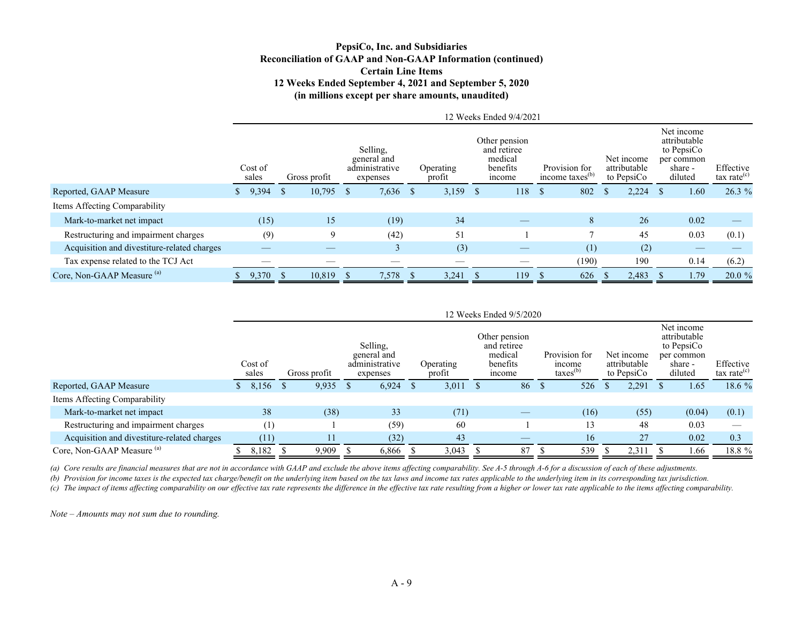### **PepsiCo, Inc. and Subsidiaries Reconciliation of GAAP and Non-GAAP Information (continued) Certain Line Items 12 Weeks Ended September 4, 2021 and September 5, 2020 (in millions except per share amounts, unaudited)**

|                                             |                  |              |                                                       |                     |    | 12 Weeks Ended 9/4/2021                                      |               |                                              |    |                                          |                                                                              |                                      |
|---------------------------------------------|------------------|--------------|-------------------------------------------------------|---------------------|----|--------------------------------------------------------------|---------------|----------------------------------------------|----|------------------------------------------|------------------------------------------------------------------------------|--------------------------------------|
|                                             | Cost of<br>sales | Gross profit | Selling.<br>general and<br>administrative<br>expenses | Operating<br>profit |    | Other pension<br>and retiree<br>medical<br>benefits<br>mcome |               | Provision for<br>income taxes <sup>(b)</sup> |    | Net income<br>attributable<br>to PepsiCo | Net income<br>attributable<br>to PepsiCo<br>per common<br>share -<br>diluted | Effective<br>$\text{tax rate}^{(c)}$ |
| Reported, GAAP Measure                      | 9,394            | $10,795$ \$  | $7,636$ \$                                            | 3,159               | S. | 118                                                          | <sup>\$</sup> | 802                                          | Ъ  | 2,224                                    | 1.60                                                                         | $26.3\%$                             |
| Items Affecting Comparability               |                  |              |                                                       |                     |    |                                                              |               |                                              |    |                                          |                                                                              |                                      |
| Mark-to-market net impact                   | (15)             | 15           | (19)                                                  | 34                  |    |                                                              |               | 8                                            |    | 26                                       | 0.02                                                                         |                                      |
| Restructuring and impairment charges        | (9)              | 9            | (42)                                                  | 51                  |    |                                                              |               |                                              |    | 45                                       | 0.03                                                                         | (0.1)                                |
| Acquisition and divestiture-related charges |                  |              |                                                       | (3)                 |    |                                                              |               | (1)                                          |    | (2)                                      |                                                                              |                                      |
| Tax expense related to the TCJ Act          |                  |              |                                                       |                     |    |                                                              |               | (190)                                        |    | 190                                      | 0.14                                                                         | (6.2)                                |
| Core, Non-GAAP Measure <sup>(a)</sup>       | 9,370 \$         | 10,819       | 7,578                                                 | 3,241               |    | 119                                                          |               | 626                                          | ъ. | 2,483                                    | 1.79                                                                         | $20.0 \%$                            |

|                                             | 12 Weeks Ended 9/5/2020 |                  |  |              |  |                                                       |  |                     |  |                                                               |                                                        |      |                                          |       |                                                                              |        |                             |
|---------------------------------------------|-------------------------|------------------|--|--------------|--|-------------------------------------------------------|--|---------------------|--|---------------------------------------------------------------|--------------------------------------------------------|------|------------------------------------------|-------|------------------------------------------------------------------------------|--------|-----------------------------|
|                                             |                         | Cost of<br>sales |  | Gross profit |  | Selling,<br>general and<br>administrative<br>expenses |  | Operating<br>profit |  | Other pension<br>and retiree<br>medical<br>benefits<br>income | Provision for<br>income<br>$\text{taxes}^{\text{(b)}}$ |      | Net income<br>attributable<br>to PepsiCo |       | Net income<br>attributable<br>to PepsiCo<br>per common<br>share -<br>diluted |        | Effective<br>tax rate $(c)$ |
| Reported, GAAP Measure                      |                         | 8,156            |  | 9,935        |  | 6,924                                                 |  | 3,011               |  | 86                                                            |                                                        | 526  |                                          | 2,291 |                                                                              | 1.65   | 18.6 %                      |
| Items Affecting Comparability               |                         |                  |  |              |  |                                                       |  |                     |  |                                                               |                                                        |      |                                          |       |                                                                              |        |                             |
| Mark-to-market net impact                   |                         | 38               |  | (38)         |  | 33                                                    |  | (71)                |  |                                                               |                                                        | (16) |                                          | (55)  |                                                                              | (0.04) | (0.1)                       |
| Restructuring and impairment charges        |                         | (1)              |  |              |  | (59)                                                  |  | 60                  |  |                                                               |                                                        | 13   |                                          | 48    |                                                                              | 0.03   |                             |
| Acquisition and divestiture-related charges |                         | (11)             |  | 11           |  | (32)                                                  |  | 43                  |  |                                                               |                                                        | 16   |                                          | 27    |                                                                              | 0.02   | 0.3                         |
| Core, Non-GAAP Measure (a)                  |                         | 8,182            |  | 9.909        |  | 6,866                                                 |  | 3,043               |  | 87                                                            |                                                        | 539  |                                          | 2,311 |                                                                              | 1.66   | 18.8 %                      |

*(a) Core results are financial measures that are not in accordance with GAAP and exclude the above items affecting comparability. See A-5 through A-6 for a discussion of each of these adjustments.*

*(b) Provision for income taxes is the expected tax charge/benefit on the underlying item based on the tax laws and income tax rates applicable to the underlying item in its corresponding tax jurisdiction.*

(c) The impact of items affecting comparability on our effective tax rate represents the difference in the effective tax rate resulting from a higher or lower tax rate applicable to the items affecting comparability.

*Note – Amounts may not sum due to rounding.*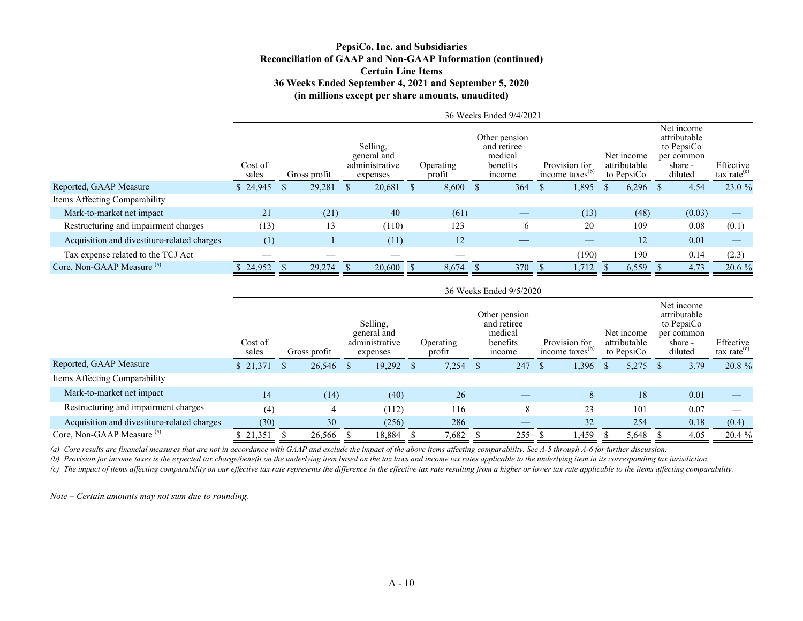### **PepsiCo, Inc. and Subsidiaries Reconciliation of GAAP and Non-GAAP Information (continued) Certain Line Items 36 Weeks Ended September 4, 2021 and September 5, 2020 (in millions except per share amounts, unaudited)**

| Cost of<br>sales |        |              | Selling,<br>expenses |                               | Operating<br>profit | medical<br>benefits<br>income |                              |                         |                                              |       |                                          |        | Effective<br>tax rate $(c)$                                                  |
|------------------|--------|--------------|----------------------|-------------------------------|---------------------|-------------------------------|------------------------------|-------------------------|----------------------------------------------|-------|------------------------------------------|--------|------------------------------------------------------------------------------|
| \$24,945         | 29,281 |              | 20,681               |                               |                     | 364                           | -S                           | 1,895                   | <sup>S</sup>                                 | 6,296 |                                          | 4.54   | 23.0 %                                                                       |
|                  |        |              |                      |                               |                     |                               |                              |                         |                                              |       |                                          |        |                                                                              |
| 21               | (21)   |              | 40                   |                               | (61)                |                               |                              | (13)                    |                                              | (48)  |                                          | (0.03) |                                                                              |
| (13)             | 13     |              | (110)                |                               | 123                 | 6                             |                              | 20                      |                                              | 109   |                                          | 0.08   | (0.1)                                                                        |
| (1)              |        |              | (11)                 |                               | 12                  | __                            |                              |                         |                                              | 12    |                                          | 0.01   |                                                                              |
|                  |        |              |                      |                               |                     |                               |                              | (190)                   |                                              | 190   |                                          | 0.14   | (2.3)                                                                        |
| 24,952           |        |              | 20,600               |                               | 8,674               | 370                           |                              | 1.712                   |                                              | 6,559 |                                          | 4.73   | $20.6\%$                                                                     |
|                  |        | Gross profit | 29,274               | general and<br>administrative |                     | 8,600 S                       | Other pension<br>and retiree | 36 Weeks Ended 9/4/2021 | Provision for<br>income taxes <sup>(b)</sup> |       | Net income<br>attributable<br>to PepsiCo |        | Net income<br>attributable<br>to PepsiCo<br>per common<br>share -<br>diluted |

|                                             |                  |              |                                                       |                     |       |              | 36 Weeks Ended 9/5/2020                                       |     |                                              |    |                                          |                                                                              |                                      |
|---------------------------------------------|------------------|--------------|-------------------------------------------------------|---------------------|-------|--------------|---------------------------------------------------------------|-----|----------------------------------------------|----|------------------------------------------|------------------------------------------------------------------------------|--------------------------------------|
|                                             | Cost of<br>sales | Gross profit | Selling.<br>general and<br>administrative<br>expenses | Operating<br>profit |       |              | Other pension<br>and retiree<br>medical<br>benefits<br>income |     | Provision for<br>income taxes <sup>(b)</sup> |    | Net income<br>attributable<br>to PepsiCo | Net income<br>attributable<br>to PepsiCo<br>per common<br>share -<br>diluted | Effective<br>$\text{tax rate}^{(c)}$ |
| Reported, GAAP Measure                      | \$21,371         | 26,546 \$    | $19,292$ \$                                           |                     | 7,254 | $\mathbf{s}$ | 247                                                           | -\$ | 1,396                                        | -S | 5,275                                    | 3.79                                                                         | 20.8 %                               |
| Items Affecting Comparability               |                  |              |                                                       |                     |       |              |                                                               |     |                                              |    |                                          |                                                                              |                                      |
| Mark-to-market net impact                   | 14               | (14)         | (40)                                                  |                     | 26    |              |                                                               |     | 8                                            |    | 18                                       | 0.01                                                                         |                                      |
| Restructuring and impairment charges        | (4)              | 4            | (112)                                                 |                     | 116   |              | 8                                                             |     | 23                                           |    | 101                                      | 0.07                                                                         |                                      |
| Acquisition and divestiture-related charges | (30)             | 30           | (256)                                                 |                     | 286   |              |                                                               |     | 32                                           |    | 254                                      | 0.18                                                                         | (0.4)                                |
| Core, Non-GAAP Measure <sup>(a)</sup>       | 321,351          | 26,566       | 18,884                                                |                     | 7,682 |              | 255                                                           |     | 1,459                                        |    | 5,648                                    | 4.05                                                                         | 20.4 %                               |

*(a) Core results are financial measures that are not in accordance with GAAP and exclude the impact of the above items affecting comparability. See A-5 through A-6 for further discussion.* 

*(b) Provision for income taxes is the expected tax charge/benefit on the underlying item based on the tax laws and income tax rates applicable to the underlying item in its corresponding tax jurisdiction.*

(c) The impact of items affecting comparability on our effective tax rate represents the difference in the effective tax rate resulting from a higher or lower tax rate applicable to the items affecting comparability.

*Note – Certain amounts may not sum due to rounding.*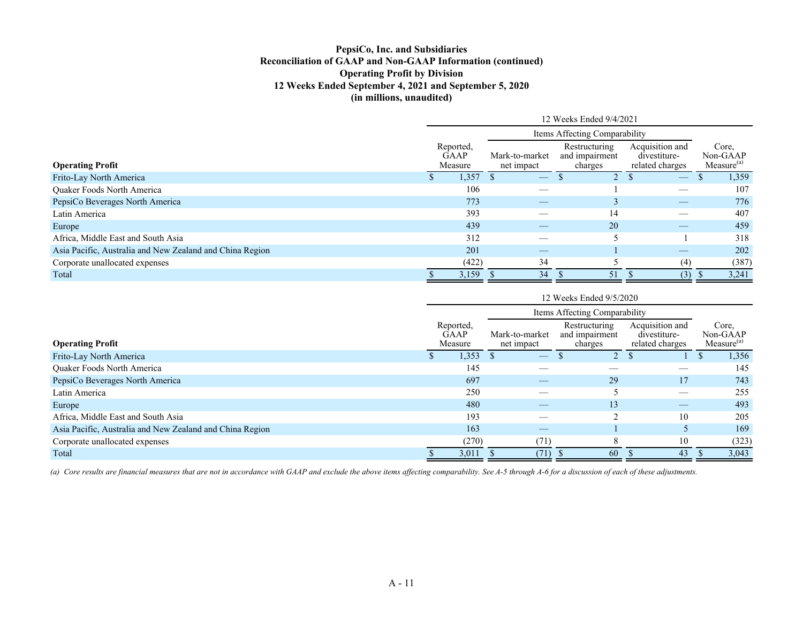## **PepsiCo, Inc. and Subsidiaries Reconciliation of GAAP and Non-GAAP Information (continued) Operating Profit by Division 12 Weeks Ended September 4, 2021 and September 5, 2020 (in millions, unaudited)**

|                                                          | 12 Weeks Ended 9/4/2021 |                                     |                              |                                                                                   |                                 |  |       |  |  |  |  |
|----------------------------------------------------------|-------------------------|-------------------------------------|------------------------------|-----------------------------------------------------------------------------------|---------------------------------|--|-------|--|--|--|--|
|                                                          |                         |                                     |                              |                                                                                   |                                 |  |       |  |  |  |  |
| <b>Operating Profit</b>                                  |                         | Reported,<br><b>GAAP</b><br>Measure | Mark-to-market<br>net impact | Acquisition and<br>Core.<br>Non-GAAP<br>Measure <sup>(a)</sup><br>related charges |                                 |  |       |  |  |  |  |
| Frito-Lay North America                                  |                         | 1,357                               |                              |                                                                                   |                                 |  | 1,359 |  |  |  |  |
| Quaker Foods North America                               |                         | 106                                 |                              |                                                                                   |                                 |  | 107   |  |  |  |  |
| PepsiCo Beverages North America                          |                         | 773                                 |                              |                                                                                   | $\hspace{0.1mm}-\hspace{0.1mm}$ |  | 776   |  |  |  |  |
| Latin America                                            |                         | 393                                 |                              | 14                                                                                |                                 |  | 407   |  |  |  |  |
| Europe                                                   |                         | 439                                 |                              | 20                                                                                | __                              |  | 459   |  |  |  |  |
| Africa, Middle East and South Asia                       |                         | 312                                 |                              |                                                                                   |                                 |  | 318   |  |  |  |  |
| Asia Pacific, Australia and New Zealand and China Region |                         | 201                                 |                              |                                                                                   |                                 |  | 202   |  |  |  |  |
| Corporate unallocated expenses                           |                         | (422)                               | 34                           |                                                                                   | (4)                             |  | (387) |  |  |  |  |
| Total                                                    |                         | 3,159                               | 34                           | -51                                                                               | (3)                             |  | 3,241 |  |  |  |  |

|                                                          | 12 Weeks Ended 9/5/2020       |                                     |                              |                          |                                             |    |  |       |  |  |  |  |
|----------------------------------------------------------|-------------------------------|-------------------------------------|------------------------------|--------------------------|---------------------------------------------|----|--|-------|--|--|--|--|
|                                                          | Items Affecting Comparability |                                     |                              |                          |                                             |    |  |       |  |  |  |  |
| <b>Operating Profit</b>                                  |                               | Reported,<br><b>GAAP</b><br>Measure | Mark-to-market<br>net impact | Acquisition and          | Core,<br>Non-GAAP<br>Measure <sup>(a)</sup> |    |  |       |  |  |  |  |
| Frito-Lay North America                                  |                               | 1,353                               |                              | $\overline{\phantom{m}}$ | $\overline{2}$                              |    |  | 1,356 |  |  |  |  |
| Quaker Foods North America                               |                               | 145                                 |                              |                          |                                             |    |  | 145   |  |  |  |  |
| PepsiCo Beverages North America                          |                               | 697                                 |                              |                          | 29                                          | 17 |  | 743   |  |  |  |  |
| Latin America                                            |                               | 250                                 |                              |                          |                                             |    |  | 255   |  |  |  |  |
| Europe                                                   |                               | 480                                 |                              |                          | 13                                          |    |  | 493   |  |  |  |  |
| Africa, Middle East and South Asia                       |                               | 193                                 |                              | __                       | $\sim$                                      | 10 |  | 205   |  |  |  |  |
| Asia Pacific, Australia and New Zealand and China Region |                               | 163                                 |                              |                          |                                             |    |  | 169   |  |  |  |  |
| Corporate unallocated expenses                           |                               | (270)                               |                              | (71)                     | 8                                           | 10 |  | (323) |  |  |  |  |
| Total                                                    |                               | 3,011                               |                              | (71)                     | 60                                          | 43 |  | 3,043 |  |  |  |  |

*(a) Core results are financial measures that are not in accordance with GAAP and exclude the above items affecting comparability. See A-5 through A-6 for a discussion of each of these adjustments.*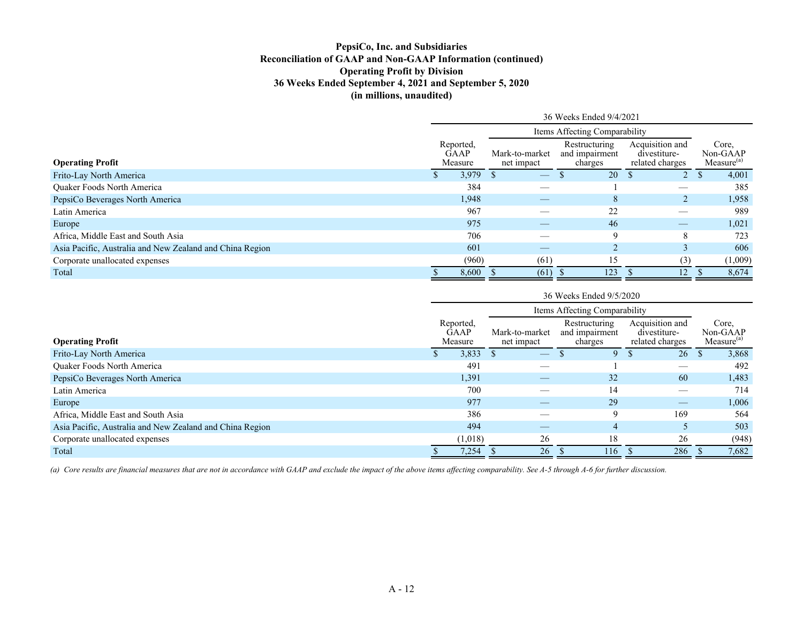### **PepsiCo, Inc. and Subsidiaries Reconciliation of GAAP and Non-GAAP Information (continued) Operating Profit by Division 36 Weeks Ended September 4, 2021 and September 5, 2020 (in millions, unaudited)**

|                                                          | 36 Weeks Ended 9/4/2021 |                                     |                              |                                                                                   |                   |  |         |  |  |  |  |
|----------------------------------------------------------|-------------------------|-------------------------------------|------------------------------|-----------------------------------------------------------------------------------|-------------------|--|---------|--|--|--|--|
|                                                          |                         |                                     |                              |                                                                                   |                   |  |         |  |  |  |  |
| <b>Operating Profit</b>                                  |                         | Reported,<br><b>GAAP</b><br>Measure | Mark-to-market<br>net impact | Acquisition and<br>Core,<br>Non-GAAP<br>Measure <sup>(a)</sup><br>related charges |                   |  |         |  |  |  |  |
| Frito-Lay North America                                  |                         | 3,979                               |                              | 20                                                                                |                   |  | 4,001   |  |  |  |  |
| <b>Ouaker Foods North America</b>                        |                         | 384                                 |                              |                                                                                   | __                |  | 385     |  |  |  |  |
| PepsiCo Beverages North America                          |                         | 1,948                               | $-\,$                        | 8                                                                                 | 2                 |  | 1,958   |  |  |  |  |
| Latin America                                            |                         | 967                                 |                              | 22                                                                                |                   |  | 989     |  |  |  |  |
| Europe                                                   |                         | 975                                 |                              | 46                                                                                |                   |  | 1,021   |  |  |  |  |
| Africa, Middle East and South Asia                       |                         | 706                                 |                              | 9                                                                                 | 8                 |  | 723     |  |  |  |  |
| Asia Pacific, Australia and New Zealand and China Region |                         | 601                                 |                              | $\bigcap$                                                                         | $\mathbf{\hat{}}$ |  | 606     |  |  |  |  |
| Corporate unallocated expenses                           |                         | (960)                               | (61)                         | 15                                                                                | (3)               |  | (1,009) |  |  |  |  |
| Total                                                    |                         | 8,600                               | (61)                         | 123                                                                               | 12                |  | 8,674   |  |  |  |  |

|                                                          | 36 Weeks Ended 9/5/2020 |                                     |                              |                                                                                   |     |   |                               |  |       |  |  |
|----------------------------------------------------------|-------------------------|-------------------------------------|------------------------------|-----------------------------------------------------------------------------------|-----|---|-------------------------------|--|-------|--|--|
|                                                          |                         |                                     |                              |                                                                                   |     |   |                               |  |       |  |  |
| <b>Operating Profit</b>                                  |                         | Reported.<br><b>GAAP</b><br>Measure | Mark-to-market<br>net impact | Acquisition and<br>Core.<br>Non-GAAP<br>Measure <sup>(a)</sup><br>related charges |     |   |                               |  |       |  |  |
| Frito-Lay North America                                  |                         | 3,833                               |                              |                                                                                   |     | 9 | 26                            |  | 3,868 |  |  |
| <b>Ouaker Foods North America</b>                        |                         | 491                                 |                              |                                                                                   |     |   |                               |  | 492   |  |  |
| PepsiCo Beverages North America                          |                         | 1,391                               |                              |                                                                                   | 32  |   | 60                            |  | 1,483 |  |  |
| Latin America                                            |                         | 700                                 |                              | __                                                                                | 14  |   | $\overbrace{\phantom{12332}}$ |  | 714   |  |  |
| Europe                                                   |                         | 977                                 |                              |                                                                                   | 29  |   |                               |  | 1,006 |  |  |
| Africa, Middle East and South Asia                       |                         | 386                                 |                              |                                                                                   |     | 9 | 169                           |  | 564   |  |  |
| Asia Pacific, Australia and New Zealand and China Region |                         | 494                                 |                              |                                                                                   |     | 4 |                               |  | 503   |  |  |
| Corporate unallocated expenses                           |                         | (1,018)                             |                              | 26                                                                                | 18  |   | 26                            |  | (948) |  |  |
| Total                                                    |                         | 7,254                               |                              | 26                                                                                | 116 |   | 286                           |  | 7,682 |  |  |

(a) Core results are financial measures that are not in accordance with GAAP and exclude the impact of the above items affecting comparability. See A-5 through A-6 for further discussion.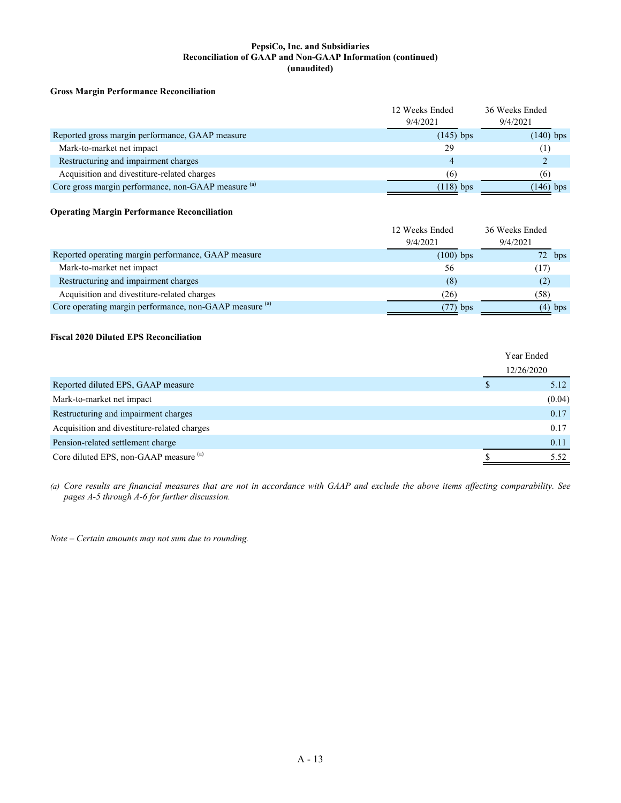#### **PepsiCo, Inc. and Subsidiaries Reconciliation of GAAP and Non-GAAP Information (continued) (unaudited)**

#### **Gross Margin Performance Reconciliation**

|                                                     | 12 Weeks Ended<br>9/4/2021 | 36 Weeks Ended<br>9/4/2021 |
|-----------------------------------------------------|----------------------------|----------------------------|
| Reported gross margin performance, GAAP measure     | $(145)$ bps                | $(140)$ bps                |
| Mark-to-market net impact                           | 29                         | $\pm$                      |
| Restructuring and impairment charges                |                            |                            |
| Acquisition and divestiture-related charges         | (6)                        | (6)                        |
| Core gross margin performance, non-GAAP measure (a) | $(118)$ bps                | $(146)$ bps                |

#### **Operating Margin Performance Reconciliation**

|                                                         | 12 Weeks Ended<br>9/4/2021 | 36 Weeks Ended<br>9/4/2021 |
|---------------------------------------------------------|----------------------------|----------------------------|
| Reported operating margin performance, GAAP measure     | $(100)$ bps                | $72$ bps                   |
| Mark-to-market net impact                               | 56                         | (17)                       |
| Restructuring and impairment charges                    | (8)                        | (2)                        |
| Acquisition and divestiture-related charges             | (26)                       | (58)                       |
| Core operating margin performance, non-GAAP measure (a) | $(77)$ bps                 | $(4)$ bps                  |

#### **Fiscal 2020 Diluted EPS Reconciliation**

|                                             | Year Ended |
|---------------------------------------------|------------|
|                                             | 12/26/2020 |
| Reported diluted EPS, GAAP measure          | 5.12       |
| Mark-to-market net impact                   | (0.04)     |
| Restructuring and impairment charges        | 0.17       |
| Acquisition and divestiture-related charges | 0.17       |
| Pension-related settlement charge           | 0.11       |
| Core diluted EPS, non-GAAP measure (a)      | 5.52       |

*(a) Core results are financial measures that are not in accordance with GAAP and exclude the above items affecting comparability. See pages A-5 through A-6 for further discussion.*

*Note – Certain amounts may not sum due to rounding.*